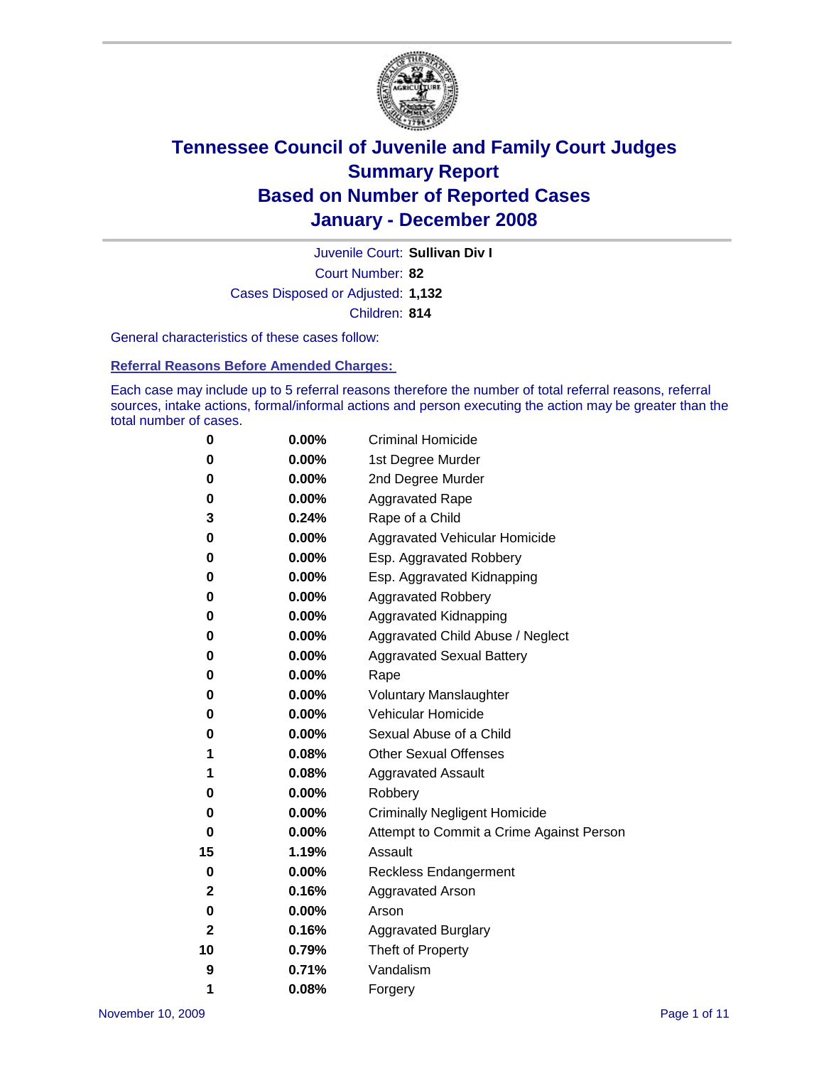

Court Number: **82** Juvenile Court: **Sullivan Div I** Cases Disposed or Adjusted: **1,132** Children: **814**

General characteristics of these cases follow:

**Referral Reasons Before Amended Charges:** 

Each case may include up to 5 referral reasons therefore the number of total referral reasons, referral sources, intake actions, formal/informal actions and person executing the action may be greater than the total number of cases.

| 0  | 0.00%    | <b>Criminal Homicide</b>                 |
|----|----------|------------------------------------------|
| 0  | 0.00%    | 1st Degree Murder                        |
| 0  | $0.00\%$ | 2nd Degree Murder                        |
| 0  | 0.00%    | <b>Aggravated Rape</b>                   |
| 3  | 0.24%    | Rape of a Child                          |
| 0  | 0.00%    | Aggravated Vehicular Homicide            |
| 0  | 0.00%    | Esp. Aggravated Robbery                  |
| 0  | 0.00%    | Esp. Aggravated Kidnapping               |
| 0  | 0.00%    | <b>Aggravated Robbery</b>                |
| 0  | $0.00\%$ | Aggravated Kidnapping                    |
| 0  | 0.00%    | Aggravated Child Abuse / Neglect         |
| 0  | $0.00\%$ | <b>Aggravated Sexual Battery</b>         |
| 0  | 0.00%    | Rape                                     |
| 0  | 0.00%    | <b>Voluntary Manslaughter</b>            |
| 0  | 0.00%    | Vehicular Homicide                       |
| 0  | 0.00%    | Sexual Abuse of a Child                  |
| 1  | 0.08%    | <b>Other Sexual Offenses</b>             |
| 1  | 0.08%    | <b>Aggravated Assault</b>                |
| 0  | $0.00\%$ | Robbery                                  |
| 0  | 0.00%    | <b>Criminally Negligent Homicide</b>     |
| 0  | 0.00%    | Attempt to Commit a Crime Against Person |
| 15 | 1.19%    | Assault                                  |
| 0  | 0.00%    | <b>Reckless Endangerment</b>             |
| 2  | 0.16%    | Aggravated Arson                         |
| 0  | 0.00%    | Arson                                    |
| 2  | 0.16%    | <b>Aggravated Burglary</b>               |
| 10 | 0.79%    | Theft of Property                        |
| 9  | 0.71%    | Vandalism                                |
| 1  | 0.08%    | Forgery                                  |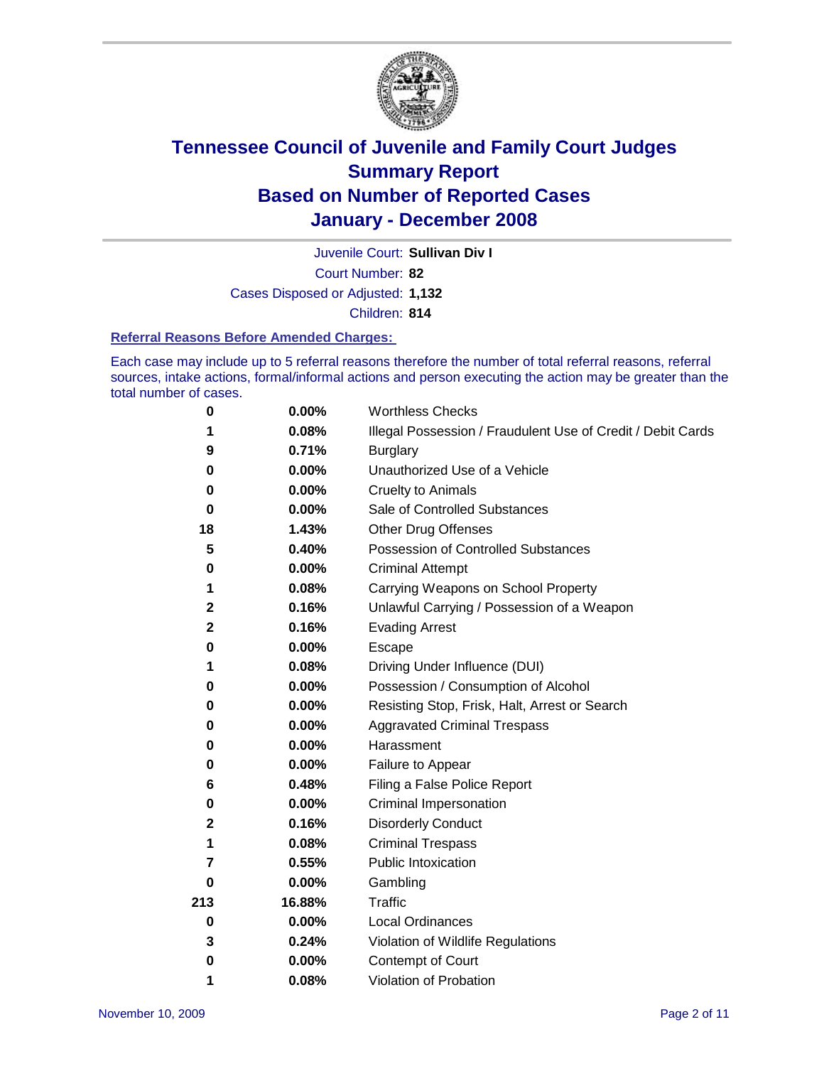

Court Number: **82** Juvenile Court: **Sullivan Div I** Cases Disposed or Adjusted: **1,132** Children: **814**

#### **Referral Reasons Before Amended Charges:**

Each case may include up to 5 referral reasons therefore the number of total referral reasons, referral sources, intake actions, formal/informal actions and person executing the action may be greater than the total number of cases.

| 0            | 0.00%    | <b>Worthless Checks</b>                                     |
|--------------|----------|-------------------------------------------------------------|
| 1            | 0.08%    | Illegal Possession / Fraudulent Use of Credit / Debit Cards |
| 9            | 0.71%    | <b>Burglary</b>                                             |
| 0            | $0.00\%$ | Unauthorized Use of a Vehicle                               |
| 0            | 0.00%    | <b>Cruelty to Animals</b>                                   |
| 0            | $0.00\%$ | Sale of Controlled Substances                               |
| 18           | 1.43%    | <b>Other Drug Offenses</b>                                  |
| 5            | 0.40%    | <b>Possession of Controlled Substances</b>                  |
| 0            | 0.00%    | <b>Criminal Attempt</b>                                     |
| 1            | 0.08%    | Carrying Weapons on School Property                         |
| $\mathbf{2}$ | 0.16%    | Unlawful Carrying / Possession of a Weapon                  |
| $\mathbf 2$  | 0.16%    | <b>Evading Arrest</b>                                       |
| 0            | 0.00%    | Escape                                                      |
| 1            | 0.08%    | Driving Under Influence (DUI)                               |
| 0            | 0.00%    | Possession / Consumption of Alcohol                         |
| 0            | 0.00%    | Resisting Stop, Frisk, Halt, Arrest or Search               |
| 0            | $0.00\%$ | <b>Aggravated Criminal Trespass</b>                         |
| 0            | 0.00%    | Harassment                                                  |
| 0            | $0.00\%$ | Failure to Appear                                           |
| 6            | 0.48%    | Filing a False Police Report                                |
| 0            | 0.00%    | Criminal Impersonation                                      |
| 2            | 0.16%    | <b>Disorderly Conduct</b>                                   |
| 1            | 0.08%    | <b>Criminal Trespass</b>                                    |
| 7            | 0.55%    | <b>Public Intoxication</b>                                  |
| 0            | 0.00%    | Gambling                                                    |
| 213          | 16.88%   | Traffic                                                     |
| $\mathbf 0$  | $0.00\%$ | <b>Local Ordinances</b>                                     |
| 3            | 0.24%    | Violation of Wildlife Regulations                           |
| 0            | $0.00\%$ | Contempt of Court                                           |
| 1            | 0.08%    | Violation of Probation                                      |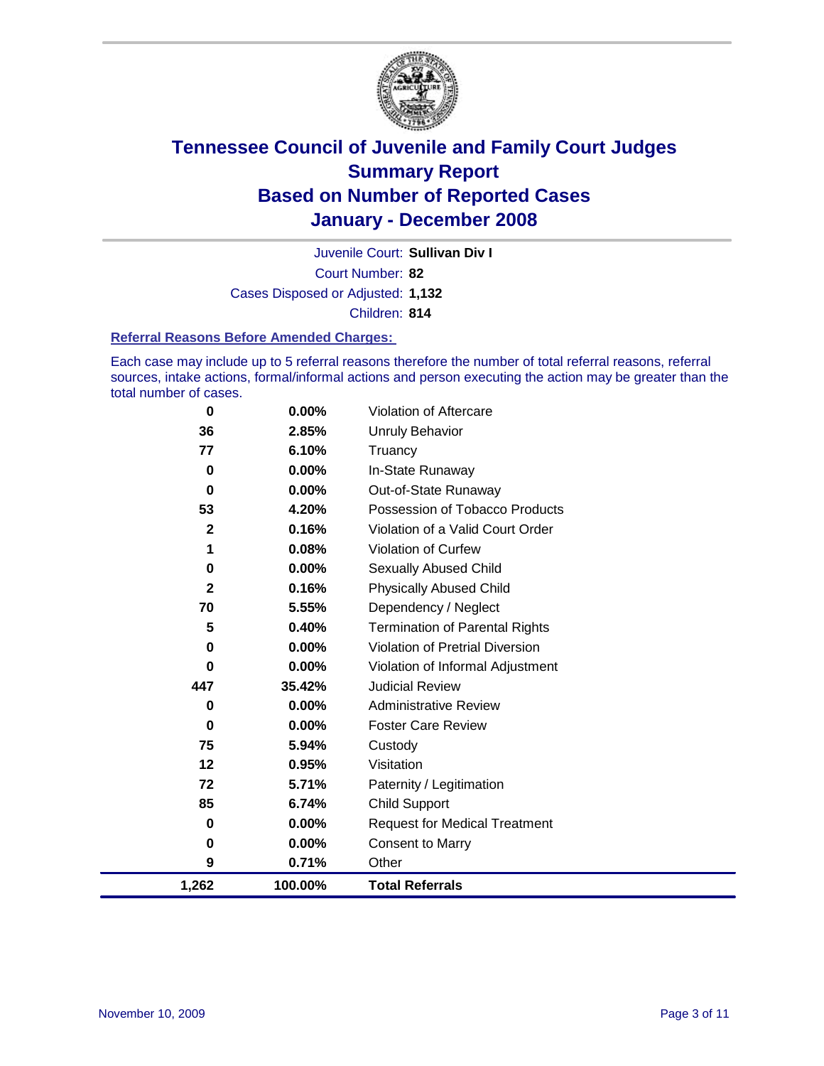

Court Number: **82** Juvenile Court: **Sullivan Div I** Cases Disposed or Adjusted: **1,132** Children: **814**

#### **Referral Reasons Before Amended Charges:**

Each case may include up to 5 referral reasons therefore the number of total referral reasons, referral sources, intake actions, formal/informal actions and person executing the action may be greater than the total number of cases.

| 1,262       | 100.00%  | <b>Total Referrals</b>                 |
|-------------|----------|----------------------------------------|
| 9           | 0.71%    | Other                                  |
| 0           | 0.00%    | <b>Consent to Marry</b>                |
| 0           | 0.00%    | <b>Request for Medical Treatment</b>   |
| 85          | 6.74%    | <b>Child Support</b>                   |
| 72          | 5.71%    | Paternity / Legitimation               |
| 12          | 0.95%    | Visitation                             |
| 75          | 5.94%    | Custody                                |
| 0           | $0.00\%$ | <b>Foster Care Review</b>              |
| 0           | $0.00\%$ | <b>Administrative Review</b>           |
| 447         | 35.42%   | <b>Judicial Review</b>                 |
| 0           | $0.00\%$ | Violation of Informal Adjustment       |
| $\bf{0}$    | 0.00%    | <b>Violation of Pretrial Diversion</b> |
| 5           | 0.40%    | <b>Termination of Parental Rights</b>  |
| 70          | 5.55%    | Dependency / Neglect                   |
| $\mathbf 2$ | 0.16%    | <b>Physically Abused Child</b>         |
| 0           | $0.00\%$ | <b>Sexually Abused Child</b>           |
| 1           | 0.08%    | <b>Violation of Curfew</b>             |
| $\mathbf 2$ | 0.16%    | Violation of a Valid Court Order       |
| 53          | 4.20%    | Possession of Tobacco Products         |
| 0           | $0.00\%$ | Out-of-State Runaway                   |
| $\bf{0}$    | 0.00%    | In-State Runaway                       |
| 77          | 6.10%    | Truancy                                |
| 36          | 2.85%    | Unruly Behavior                        |
| 0           | 0.00%    | Violation of Aftercare                 |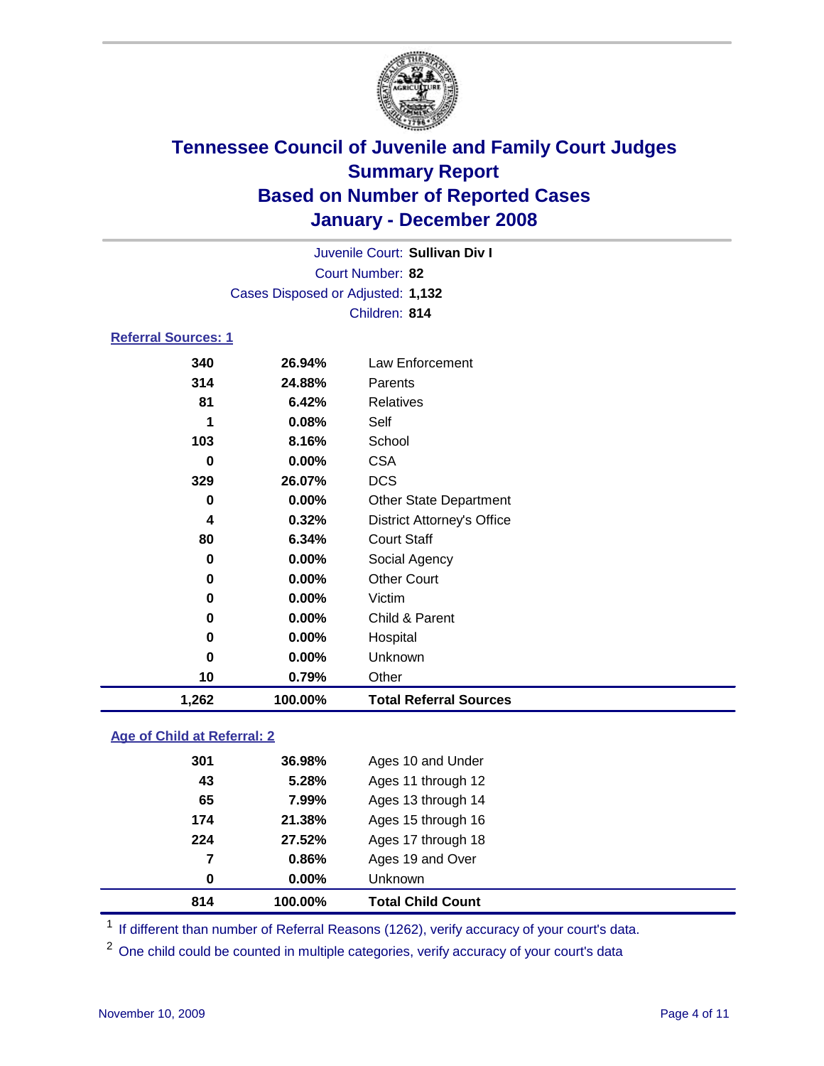

Court Number: **82** Juvenile Court: **Sullivan Div I** Cases Disposed or Adjusted: **1,132** Children: **814**

### **Referral Sources: 1**

| 10  | 0.79%  | Other                             |
|-----|--------|-----------------------------------|
| 0   | 0.00%  | Unknown                           |
| 0   | 0.00%  | Hospital                          |
| 0   | 0.00%  | Child & Parent                    |
| 0   | 0.00%  | Victim                            |
| 0   | 0.00%  | <b>Other Court</b>                |
| 0   | 0.00%  | Social Agency                     |
| 80  | 6.34%  | <b>Court Staff</b>                |
| 4   | 0.32%  | <b>District Attorney's Office</b> |
| 0   | 0.00%  | <b>Other State Department</b>     |
| 329 | 26.07% | <b>DCS</b>                        |
| 0   | 0.00%  | <b>CSA</b>                        |
| 103 | 8.16%  | School                            |
| 1   | 0.08%  | Self                              |
| 81  | 6.42%  | Relatives                         |
| 314 | 24.88% | Parents                           |
| 340 | 26.94% | Law Enforcement                   |
|     |        |                                   |

### **Age of Child at Referral: 2**

| 814 | 100.00%  | <b>Total Child Count</b> |
|-----|----------|--------------------------|
| 0   | $0.00\%$ | <b>Unknown</b>           |
| 7   | 0.86%    | Ages 19 and Over         |
| 224 | 27.52%   | Ages 17 through 18       |
| 174 | 21.38%   | Ages 15 through 16       |
| 65  | 7.99%    | Ages 13 through 14       |
| 43  | 5.28%    | Ages 11 through 12       |
| 301 | 36.98%   | Ages 10 and Under        |
|     |          |                          |

<sup>1</sup> If different than number of Referral Reasons (1262), verify accuracy of your court's data.

<sup>2</sup> One child could be counted in multiple categories, verify accuracy of your court's data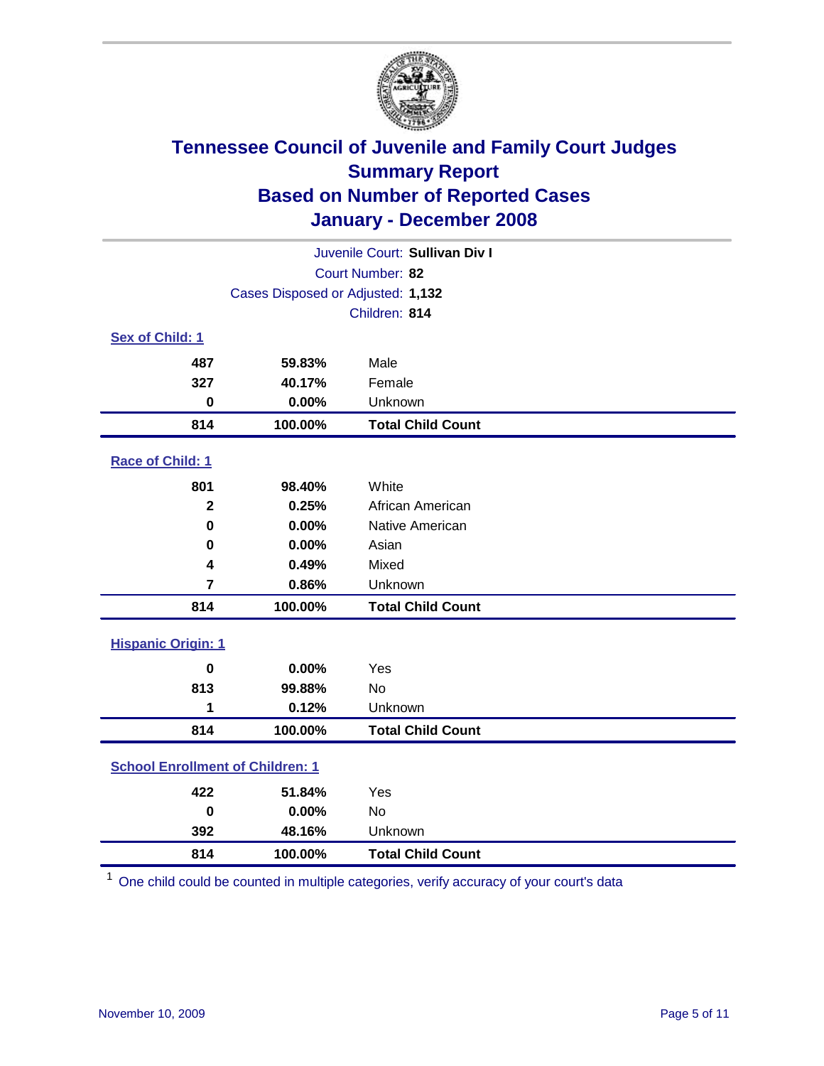

| Juvenile Court: Sullivan Div I          |                                   |                          |  |  |  |
|-----------------------------------------|-----------------------------------|--------------------------|--|--|--|
|                                         | Court Number: 82                  |                          |  |  |  |
|                                         | Cases Disposed or Adjusted: 1,132 |                          |  |  |  |
|                                         | Children: 814                     |                          |  |  |  |
| Sex of Child: 1                         |                                   |                          |  |  |  |
| 487                                     | 59.83%                            | Male                     |  |  |  |
| 327                                     | 40.17%                            | Female                   |  |  |  |
| $\bf{0}$                                | 0.00%                             | Unknown                  |  |  |  |
| 814                                     | 100.00%                           | <b>Total Child Count</b> |  |  |  |
| Race of Child: 1                        |                                   |                          |  |  |  |
| 801                                     | 98.40%                            | White                    |  |  |  |
| $\mathbf 2$                             | 0.25%                             | African American         |  |  |  |
| $\bf{0}$                                | 0.00%                             | Native American          |  |  |  |
| 0                                       | 0.00%                             | Asian                    |  |  |  |
| 4                                       | 0.49%                             | Mixed                    |  |  |  |
| $\overline{7}$                          | 0.86%                             | Unknown                  |  |  |  |
| 814                                     | 100.00%                           | <b>Total Child Count</b> |  |  |  |
| <b>Hispanic Origin: 1</b>               |                                   |                          |  |  |  |
| $\bf{0}$                                | 0.00%                             | Yes                      |  |  |  |
| 813                                     | 99.88%                            | <b>No</b>                |  |  |  |
| 1                                       | 0.12%                             | Unknown                  |  |  |  |
| 814                                     | 100.00%                           | <b>Total Child Count</b> |  |  |  |
| <b>School Enrollment of Children: 1</b> |                                   |                          |  |  |  |
| 422                                     | 51.84%                            | Yes                      |  |  |  |
| $\bf{0}$                                | 0.00%                             | <b>No</b>                |  |  |  |
| 392                                     | 48.16%                            | Unknown                  |  |  |  |
| 814                                     | 100.00%                           | <b>Total Child Count</b> |  |  |  |

One child could be counted in multiple categories, verify accuracy of your court's data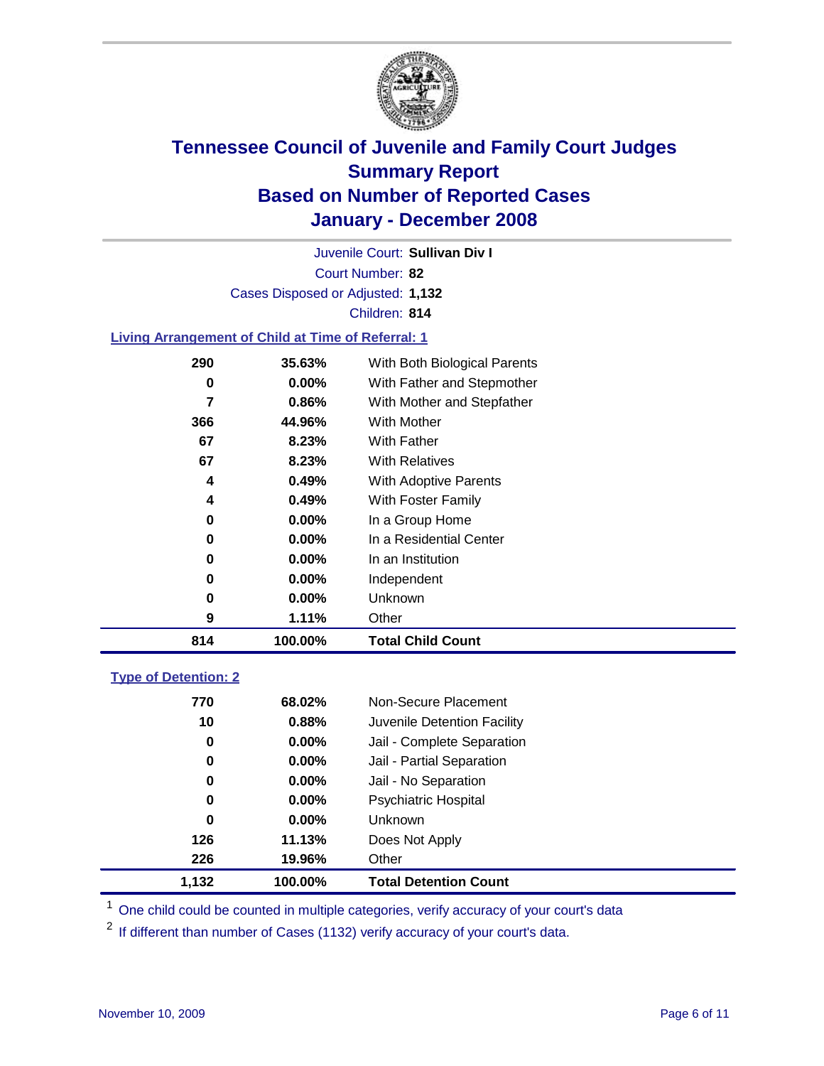

Court Number: **82** Juvenile Court: **Sullivan Div I** Cases Disposed or Adjusted: **1,132** Children: **814**

#### **Living Arrangement of Child at Time of Referral: 1**

| 0.49%<br>0.00%<br>$0.00\%$<br>0.00%<br>$0.00\%$<br>0.00%<br>1.11% | With Foster Family<br>In a Group Home<br>In a Residential Center<br>In an Institution<br>Independent<br>Unknown<br>Other |  |
|-------------------------------------------------------------------|--------------------------------------------------------------------------------------------------------------------------|--|
|                                                                   |                                                                                                                          |  |
|                                                                   |                                                                                                                          |  |
|                                                                   |                                                                                                                          |  |
|                                                                   |                                                                                                                          |  |
|                                                                   |                                                                                                                          |  |
|                                                                   |                                                                                                                          |  |
|                                                                   |                                                                                                                          |  |
| 0.49%                                                             | <b>With Adoptive Parents</b>                                                                                             |  |
| 8.23%                                                             | <b>With Relatives</b>                                                                                                    |  |
| 8.23%                                                             | With Father                                                                                                              |  |
| 44.96%                                                            | With Mother                                                                                                              |  |
| 0.86%                                                             | With Mother and Stepfather                                                                                               |  |
| $0.00\%$                                                          | With Father and Stepmother                                                                                               |  |
| 35.63%                                                            | With Both Biological Parents                                                                                             |  |
|                                                                   |                                                                                                                          |  |

### **Type of Detention: 2**

| 1,132 | 100.00%  | <b>Total Detention Count</b> |  |
|-------|----------|------------------------------|--|
| 226   | 19.96%   | Other                        |  |
| 126   | 11.13%   | Does Not Apply               |  |
| 0     | $0.00\%$ | <b>Unknown</b>               |  |
| 0     | 0.00%    | <b>Psychiatric Hospital</b>  |  |
| 0     | $0.00\%$ | Jail - No Separation         |  |
| 0     | $0.00\%$ | Jail - Partial Separation    |  |
| 0     | $0.00\%$ | Jail - Complete Separation   |  |
| 10    | 0.88%    | Juvenile Detention Facility  |  |
| 770   | 68.02%   | Non-Secure Placement         |  |
|       |          |                              |  |

<sup>1</sup> One child could be counted in multiple categories, verify accuracy of your court's data

<sup>2</sup> If different than number of Cases (1132) verify accuracy of your court's data.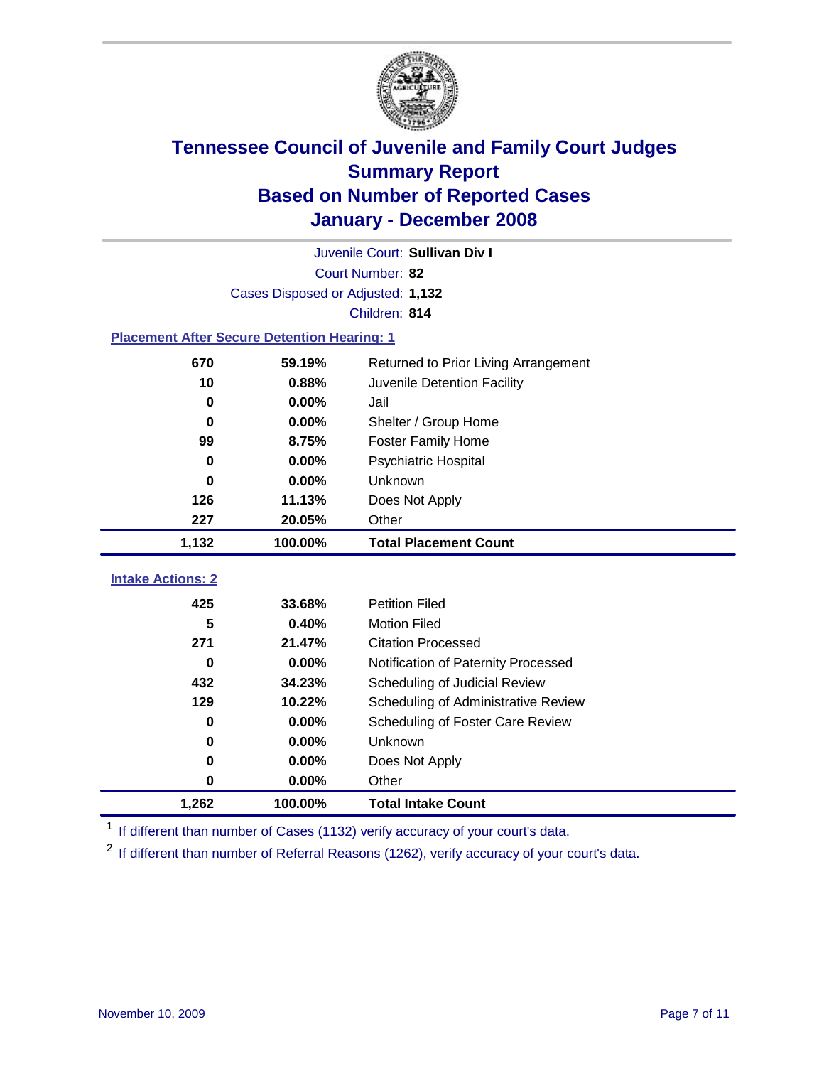

| Juvenile Court: Sullivan Div I                     |                                   |                                      |  |  |  |
|----------------------------------------------------|-----------------------------------|--------------------------------------|--|--|--|
|                                                    | Court Number: 82                  |                                      |  |  |  |
|                                                    | Cases Disposed or Adjusted: 1,132 |                                      |  |  |  |
|                                                    |                                   | Children: 814                        |  |  |  |
| <b>Placement After Secure Detention Hearing: 1</b> |                                   |                                      |  |  |  |
| 670<br>59.19%                                      |                                   | Returned to Prior Living Arrangement |  |  |  |
| 10                                                 | 0.88%                             | Juvenile Detention Facility          |  |  |  |
| 0                                                  | 0.00%                             | Jail                                 |  |  |  |
| 0                                                  | 0.00%                             | Shelter / Group Home                 |  |  |  |
| 99                                                 | 8.75%                             | <b>Foster Family Home</b>            |  |  |  |
| 0                                                  | 0.00%                             | Psychiatric Hospital                 |  |  |  |
| 0                                                  | $0.00\%$                          | Unknown                              |  |  |  |
| 126                                                | 11.13%                            | Does Not Apply                       |  |  |  |
| 227                                                | 20.05%                            | Other                                |  |  |  |
| 1,132                                              | 100.00%                           | <b>Total Placement Count</b>         |  |  |  |
|                                                    |                                   |                                      |  |  |  |
| <b>Intake Actions: 2</b>                           |                                   |                                      |  |  |  |
| 425                                                | 33.68%                            | <b>Petition Filed</b>                |  |  |  |
| 5                                                  | 0.40%                             | <b>Motion Filed</b>                  |  |  |  |
| 271                                                | 21.47%                            | <b>Citation Processed</b>            |  |  |  |
| 0                                                  | $0.00\%$                          | Notification of Paternity Processed  |  |  |  |
| 432                                                | 34.23%                            | Scheduling of Judicial Review        |  |  |  |
| 129                                                | 10.22%                            | Scheduling of Administrative Review  |  |  |  |
| 0                                                  | 0.00%                             | Scheduling of Foster Care Review     |  |  |  |
| 0                                                  | 0.00%                             | Unknown                              |  |  |  |
| 0                                                  | 0.00%                             | Does Not Apply                       |  |  |  |
| 0                                                  | 0.00%                             | Other                                |  |  |  |
| 1,262                                              | 100.00%                           | <b>Total Intake Count</b>            |  |  |  |

<sup>1</sup> If different than number of Cases (1132) verify accuracy of your court's data.

<sup>2</sup> If different than number of Referral Reasons (1262), verify accuracy of your court's data.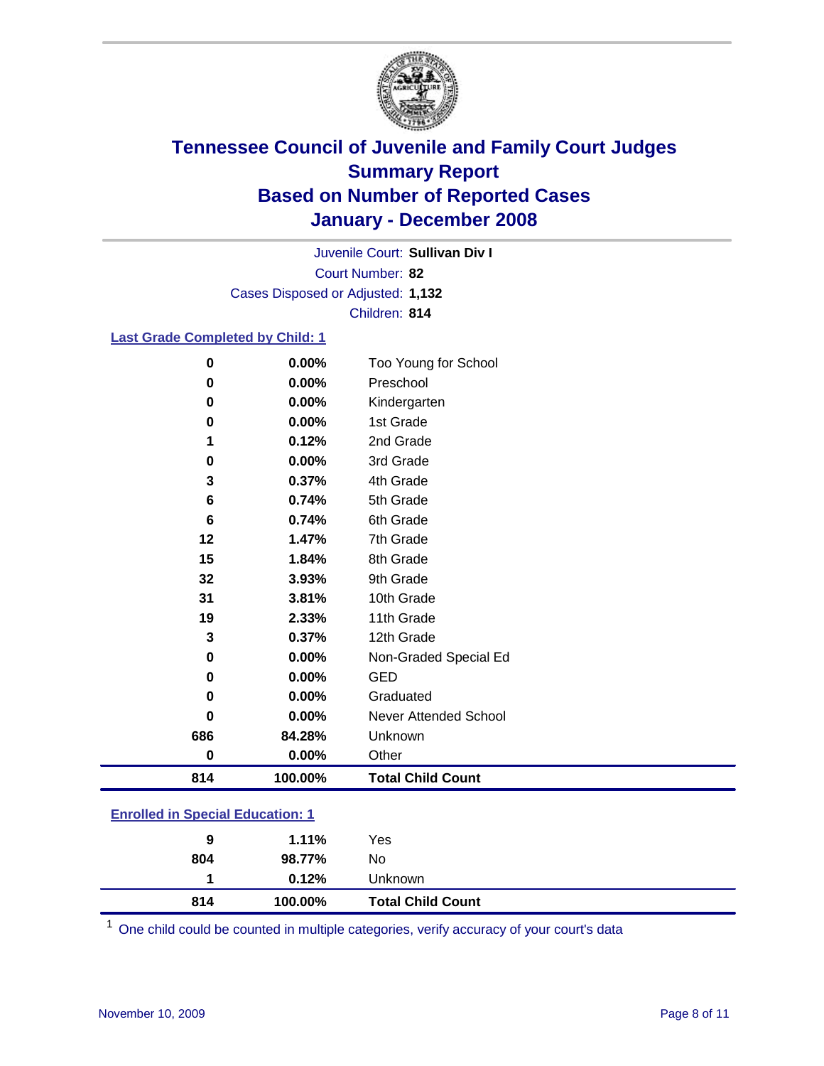

Court Number: **82** Juvenile Court: **Sullivan Div I** Cases Disposed or Adjusted: **1,132** Children: **814**

### **Last Grade Completed by Child: 1**

| 814      | 100.00% | <b>Total Child Count</b> |
|----------|---------|--------------------------|
| 0        | 0.00%   | Other                    |
| 686      | 84.28%  | Unknown                  |
| 0        | 0.00%   | Never Attended School    |
| 0        | 0.00%   | Graduated                |
| 0        | 0.00%   | <b>GED</b>               |
| 0        | 0.00%   | Non-Graded Special Ed    |
| 3        | 0.37%   | 12th Grade               |
| 19       | 2.33%   | 11th Grade               |
| 31       | 3.81%   | 10th Grade               |
| 32       | 3.93%   | 9th Grade                |
| 15       | 1.84%   | 8th Grade                |
| 12       | 1.47%   | 7th Grade                |
| 6        | 0.74%   | 6th Grade                |
| 6        | 0.74%   | 5th Grade                |
| 3        | 0.37%   | 4th Grade                |
| 0        | 0.00%   | 3rd Grade                |
| 1        | 0.12%   | 2nd Grade                |
| 0        | 0.00%   | 1st Grade                |
| 0        | 0.00%   | Kindergarten             |
| 0        | 0.00%   | Preschool                |
| $\bf{0}$ | 0.00%   | Too Young for School     |

### **Enrolled in Special Education: 1**

| 804 | 98.77%<br>$0.12\%$ | No<br>Unknown            |  |
|-----|--------------------|--------------------------|--|
| 814 | 100.00%            | <b>Total Child Count</b> |  |

<sup>1</sup> One child could be counted in multiple categories, verify accuracy of your court's data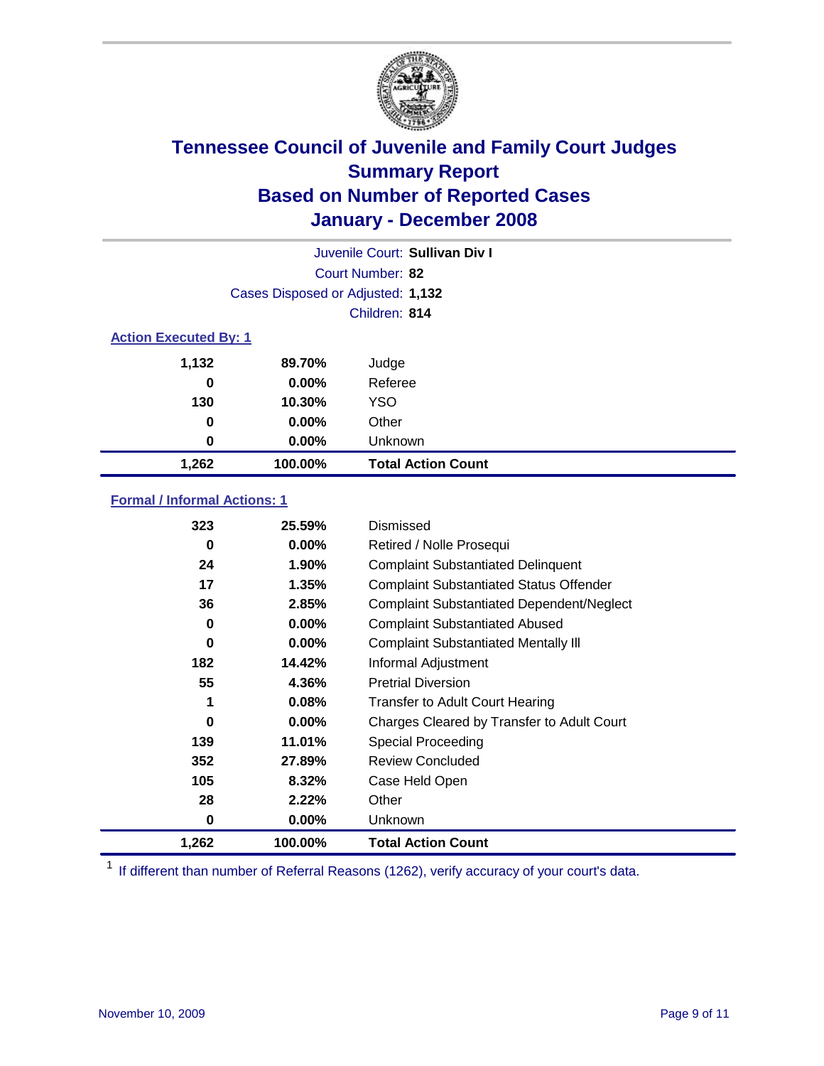

| Juvenile Court: Sullivan Div I |                                   |                           |  |  |  |
|--------------------------------|-----------------------------------|---------------------------|--|--|--|
|                                | Court Number: 82                  |                           |  |  |  |
|                                | Cases Disposed or Adjusted: 1,132 |                           |  |  |  |
|                                | Children: 814                     |                           |  |  |  |
| <b>Action Executed By: 1</b>   |                                   |                           |  |  |  |
| 1,132                          | 89.70%                            | Judge                     |  |  |  |
| 0                              | $0.00\%$                          | Referee                   |  |  |  |
| 130                            | 10.30%                            | <b>YSO</b>                |  |  |  |
| 0                              | $0.00\%$                          | Other                     |  |  |  |
| 0                              | $0.00\%$                          | Unknown                   |  |  |  |
| 1,262                          | 100.00%                           | <b>Total Action Count</b> |  |  |  |

### **Formal / Informal Actions: 1**

| 323   | 25.59%   | Dismissed                                        |
|-------|----------|--------------------------------------------------|
| 0     | $0.00\%$ | Retired / Nolle Prosequi                         |
| 24    | $1.90\%$ | <b>Complaint Substantiated Delinquent</b>        |
| 17    | 1.35%    | <b>Complaint Substantiated Status Offender</b>   |
| 36    | 2.85%    | <b>Complaint Substantiated Dependent/Neglect</b> |
| 0     | 0.00%    | <b>Complaint Substantiated Abused</b>            |
| 0     | $0.00\%$ | <b>Complaint Substantiated Mentally III</b>      |
| 182   | 14.42%   | Informal Adjustment                              |
| 55    | 4.36%    | <b>Pretrial Diversion</b>                        |
| 1     | 0.08%    | <b>Transfer to Adult Court Hearing</b>           |
| 0     | $0.00\%$ | Charges Cleared by Transfer to Adult Court       |
| 139   | 11.01%   | Special Proceeding                               |
| 352   | 27.89%   | <b>Review Concluded</b>                          |
| 105   | 8.32%    | Case Held Open                                   |
| 28    | 2.22%    | Other                                            |
| 0     | 0.00%    | <b>Unknown</b>                                   |
| 1,262 | 100.00%  | <b>Total Action Count</b>                        |

<sup>1</sup> If different than number of Referral Reasons (1262), verify accuracy of your court's data.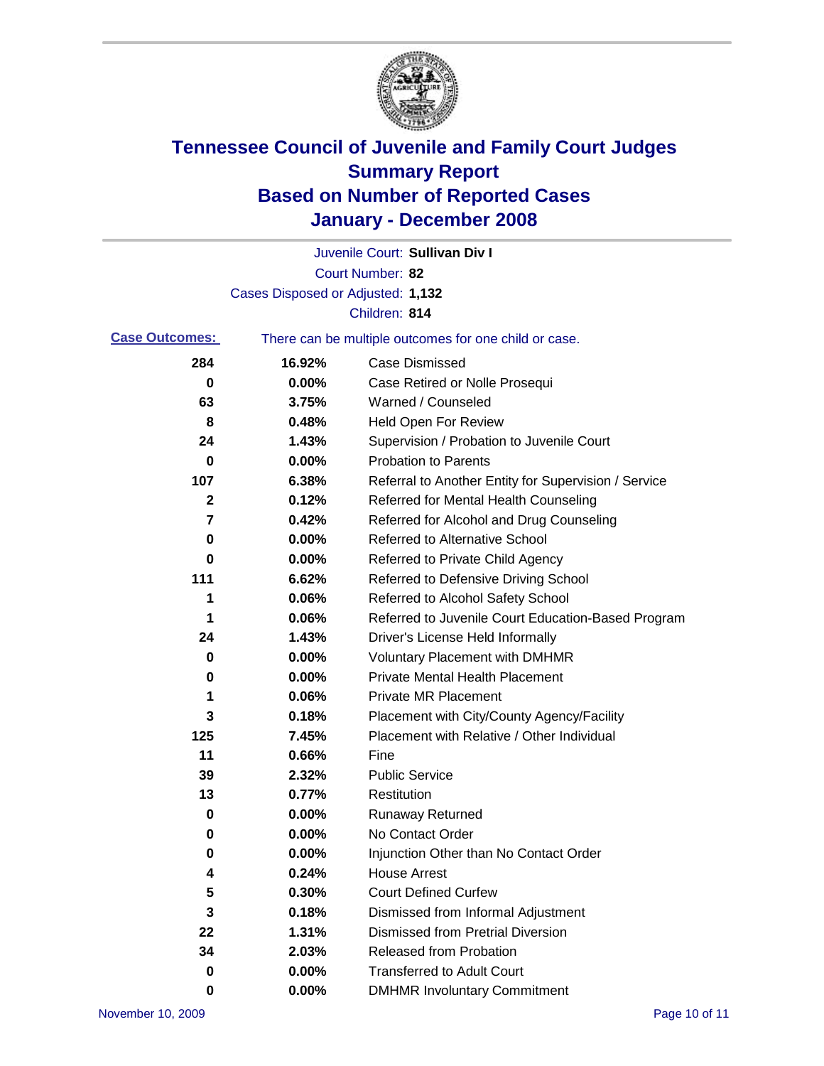

|                       |                                   | Juvenile Court: Sullivan Div I                        |
|-----------------------|-----------------------------------|-------------------------------------------------------|
|                       |                                   | Court Number: 82                                      |
|                       | Cases Disposed or Adjusted: 1,132 |                                                       |
|                       |                                   | Children: 814                                         |
| <b>Case Outcomes:</b> |                                   | There can be multiple outcomes for one child or case. |
| 284                   | 16.92%                            | <b>Case Dismissed</b>                                 |
| 0                     | 0.00%                             | Case Retired or Nolle Prosequi                        |
| 63                    | 3.75%                             | Warned / Counseled                                    |
| 8                     | 0.48%                             | <b>Held Open For Review</b>                           |
| 24                    | 1.43%                             | Supervision / Probation to Juvenile Court             |
| $\bf{0}$              | 0.00%                             | <b>Probation to Parents</b>                           |
| 107                   | 6.38%                             | Referral to Another Entity for Supervision / Service  |
| 2                     | 0.12%                             | Referred for Mental Health Counseling                 |
| 7                     | 0.42%                             | Referred for Alcohol and Drug Counseling              |
| 0                     | 0.00%                             | <b>Referred to Alternative School</b>                 |
| 0                     | 0.00%                             | Referred to Private Child Agency                      |
| 111                   | 6.62%                             | Referred to Defensive Driving School                  |
| 1                     | 0.06%                             | Referred to Alcohol Safety School                     |
| 1                     | 0.06%                             | Referred to Juvenile Court Education-Based Program    |
| 24                    | 1.43%                             | Driver's License Held Informally                      |
| 0                     | 0.00%                             | <b>Voluntary Placement with DMHMR</b>                 |
| 0                     | 0.00%                             | <b>Private Mental Health Placement</b>                |
| 1                     | 0.06%                             | <b>Private MR Placement</b>                           |
| 3                     | 0.18%                             | Placement with City/County Agency/Facility            |
| 125                   | 7.45%                             | Placement with Relative / Other Individual            |
| 11                    | 0.66%                             | Fine                                                  |
| 39                    | 2.32%                             | <b>Public Service</b>                                 |
| 13                    | 0.77%                             | Restitution                                           |
| 0                     | 0.00%                             | <b>Runaway Returned</b>                               |
| 0                     | 0.00%                             | No Contact Order                                      |
| 0                     | 0.00%                             | Injunction Other than No Contact Order                |
| 4                     | 0.24%                             | <b>House Arrest</b>                                   |
| 5                     | 0.30%                             | <b>Court Defined Curfew</b>                           |
| 3                     | 0.18%                             | Dismissed from Informal Adjustment                    |
| 22                    | 1.31%                             | <b>Dismissed from Pretrial Diversion</b>              |
| 34                    | 2.03%                             | <b>Released from Probation</b>                        |
| 0                     | 0.00%                             | <b>Transferred to Adult Court</b>                     |
| 0                     | 0.00%                             | <b>DMHMR Involuntary Commitment</b>                   |